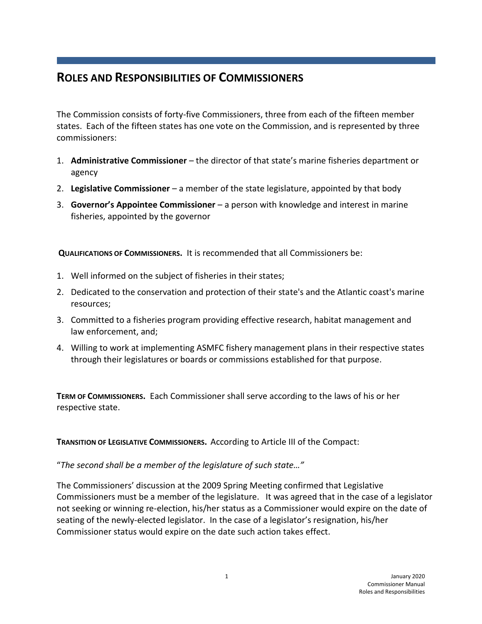# **ROLES AND RESPONSIBILITIES OF COMMISSIONERS**

The Commission consists of forty-five Commissioners, three from each of the fifteen member states. Each of the fifteen states has one vote on the Commission, and is represented by three commissioners:

- 1. **Administrative Commissioner** the director of that state's marine fisheries department or agency
- 2. **Legislative Commissioner**  a member of the state legislature, appointed by that body
- 3. **Governor's Appointee Commissioner** a person with knowledge and interest in marine fisheries, appointed by the governor

**QUALIFICATIONS OF COMMISSIONERS.** It is recommended that all Commissioners be:

- 1. Well informed on the subject of fisheries in their states;
- 2. Dedicated to the conservation and protection of their state's and the Atlantic coast's marine resources;
- 3. Committed to a fisheries program providing effective research, habitat management and law enforcement, and;
- 4. Willing to work at implementing ASMFC fishery management plans in their respective states through their legislatures or boards or commissions established for that purpose.

**TERM OF COMMISSIONERS.** Each Commissioner shall serve according to the laws of his or her respective state.

**TRANSITION OF LEGISLATIVE COMMISSIONERS.** According to Article III of the Compact:

"*The second shall be a member of the legislature of such state…"*

The Commissioners' discussion at the 2009 Spring Meeting confirmed that Legislative Commissioners must be a member of the legislature. It was agreed that in the case of a legislator not seeking or winning re-election, his/her status as a Commissioner would expire on the date of seating of the newly-elected legislator. In the case of a legislator's resignation, his/her Commissioner status would expire on the date such action takes effect.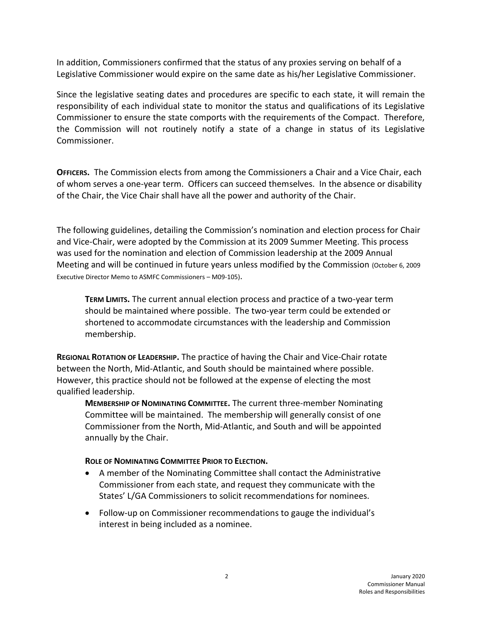In addition, Commissioners confirmed that the status of any proxies serving on behalf of a Legislative Commissioner would expire on the same date as his/her Legislative Commissioner.

Since the legislative seating dates and procedures are specific to each state, it will remain the responsibility of each individual state to monitor the status and qualifications of its Legislative Commissioner to ensure the state comports with the requirements of the Compact. Therefore, the Commission will not routinely notify a state of a change in status of its Legislative Commissioner.

**OFFICERS.** The Commission elects from among the Commissioners a Chair and a Vice Chair, each of whom serves a one-year term. Officers can succeed themselves. In the absence or disability of the Chair, the Vice Chair shall have all the power and authority of the Chair.

The following guidelines, detailing the Commission's nomination and election process for Chair and Vice-Chair, were adopted by the Commission at its 2009 Summer Meeting. This process was used for the nomination and election of Commission leadership at the 2009 Annual Meeting and will be continued in future years unless modified by the Commission (October 6, 2009 Executive Director Memo to ASMFC Commissioners – M09-105).

**TERM LIMITS.** The current annual election process and practice of a two-year term should be maintained where possible. The two-year term could be extended or shortened to accommodate circumstances with the leadership and Commission membership.

**REGIONAL ROTATION OF LEADERSHIP.** The practice of having the Chair and Vice-Chair rotate between the North, Mid-Atlantic, and South should be maintained where possible. However, this practice should not be followed at the expense of electing the most qualified leadership.

**MEMBERSHIP OF NOMINATING COMMITTEE.** The current three-member Nominating Committee will be maintained. The membership will generally consist of one Commissioner from the North, Mid-Atlantic, and South and will be appointed annually by the Chair.

#### **ROLE OF NOMINATING COMMITTEE PRIOR TO ELECTION.**

- A member of the Nominating Committee shall contact the Administrative Commissioner from each state, and request they communicate with the States' L/GA Commissioners to solicit recommendations for nominees.
- Follow-up on Commissioner recommendations to gauge the individual's interest in being included as a nominee.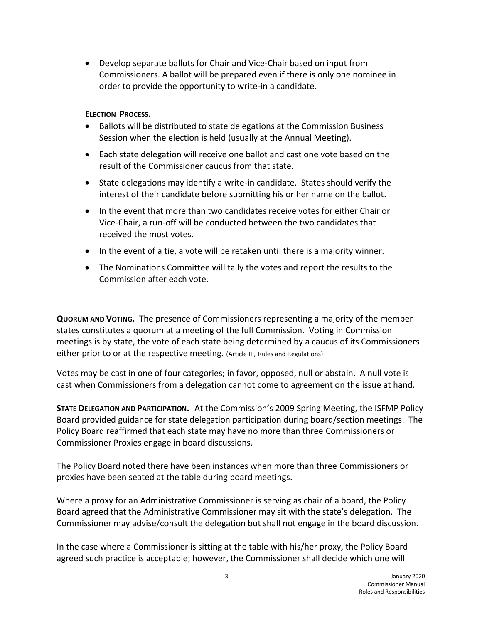Develop separate ballots for Chair and Vice-Chair based on input from Commissioners. A ballot will be prepared even if there is only one nominee in order to provide the opportunity to write-in a candidate.

### **ELECTION PROCESS.**

- Ballots will be distributed to state delegations at the Commission Business Session when the election is held (usually at the Annual Meeting).
- Each state delegation will receive one ballot and cast one vote based on the result of the Commissioner caucus from that state.
- State delegations may identify a write-in candidate. States should verify the interest of their candidate before submitting his or her name on the ballot.
- In the event that more than two candidates receive votes for either Chair or Vice-Chair, a run-off will be conducted between the two candidates that received the most votes.
- In the event of a tie, a vote will be retaken until there is a majority winner.
- The Nominations Committee will tally the votes and report the results to the Commission after each vote.

**QUORUM AND VOTING.** The presence of Commissioners representing a majority of the member states constitutes a quorum at a meeting of the full Commission. Voting in Commission meetings is by state, the vote of each state being determined by a caucus of its Commissioners either prior to or at the respective meeting. (Article III, Rules and Regulations)

Votes may be cast in one of four categories; in favor, opposed, null or abstain. A null vote is cast when Commissioners from a delegation cannot come to agreement on the issue at hand.

**STATE DELEGATION AND PARTICIPATION.** At the Commission's 2009 Spring Meeting, the ISFMP Policy Board provided guidance for state delegation participation during board/section meetings. The Policy Board reaffirmed that each state may have no more than three Commissioners or Commissioner Proxies engage in board discussions.

The Policy Board noted there have been instances when more than three Commissioners or proxies have been seated at the table during board meetings.

Where a proxy for an Administrative Commissioner is serving as chair of a board, the Policy Board agreed that the Administrative Commissioner may sit with the state's delegation. The Commissioner may advise/consult the delegation but shall not engage in the board discussion.

In the case where a Commissioner is sitting at the table with his/her proxy, the Policy Board agreed such practice is acceptable; however, the Commissioner shall decide which one will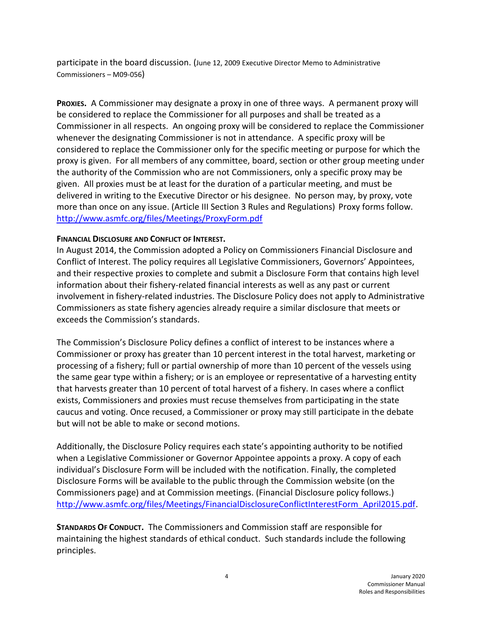participate in the board discussion. (June 12, 2009 Executive Director Memo to Administrative Commissioners – M09-056)

**PROXIES.** A Commissioner may designate a proxy in one of three ways. A permanent proxy will be considered to replace the Commissioner for all purposes and shall be treated as a Commissioner in all respects. An ongoing proxy will be considered to replace the Commissioner whenever the designating Commissioner is not in attendance. A specific proxy will be considered to replace the Commissioner only for the specific meeting or purpose for which the proxy is given. For all members of any committee, board, section or other group meeting under the authority of the Commission who are not Commissioners, only a specific proxy may be given. All proxies must be at least for the duration of a particular meeting, and must be delivered in writing to the Executive Director or his designee. No person may, by proxy, vote more than once on any issue. (Article III Section 3 Rules and Regulations) Proxy forms follow. <http://www.asmfc.org/files/Meetings/ProxyForm.pdf>

#### **FINANCIAL DISCLOSURE AND CONFLICT OF INTEREST.**

In August 2014, the Commission adopted a Policy on Commissioners Financial Disclosure and Conflict of Interest. The policy requires all Legislative Commissioners, Governors' Appointees, and their respective proxies to complete and submit a Disclosure Form that contains high level information about their fishery-related financial interests as well as any past or current involvement in fishery-related industries. The Disclosure Policy does not apply to Administrative Commissioners as state fishery agencies already require a similar disclosure that meets or exceeds the Commission's standards.

The Commission's Disclosure Policy defines a conflict of interest to be instances where a Commissioner or proxy has greater than 10 percent interest in the total harvest, marketing or processing of a fishery; full or partial ownership of more than 10 percent of the vessels using the same gear type within a fishery; or is an employee or representative of a harvesting entity that harvests greater than 10 percent of total harvest of a fishery. In cases where a conflict exists, Commissioners and proxies must recuse themselves from participating in the state caucus and voting. Once recused, a Commissioner or proxy may still participate in the debate but will not be able to make or second motions.

Additionally, the Disclosure Policy requires each state's appointing authority to be notified when a Legislative Commissioner or Governor Appointee appoints a proxy. A copy of each individual's Disclosure Form will be included with the notification. Finally, the completed Disclosure Forms will be available to the public through the Commission website (on the Commissioners page) and at Commission meetings. (Financial Disclosure policy follows.) [http://www.asmfc.org/files/Meetings/FinancialDisclosureConflictInterestForm\\_April2015.pdf.](http://www.asmfc.org/files/Meetings/FinancialDisclosureConflictInterestForm_April2015.pdf)

**STANDARDS OF CONDUCT.** The Commissioners and Commission staff are responsible for maintaining the highest standards of ethical conduct. Such standards include the following principles.